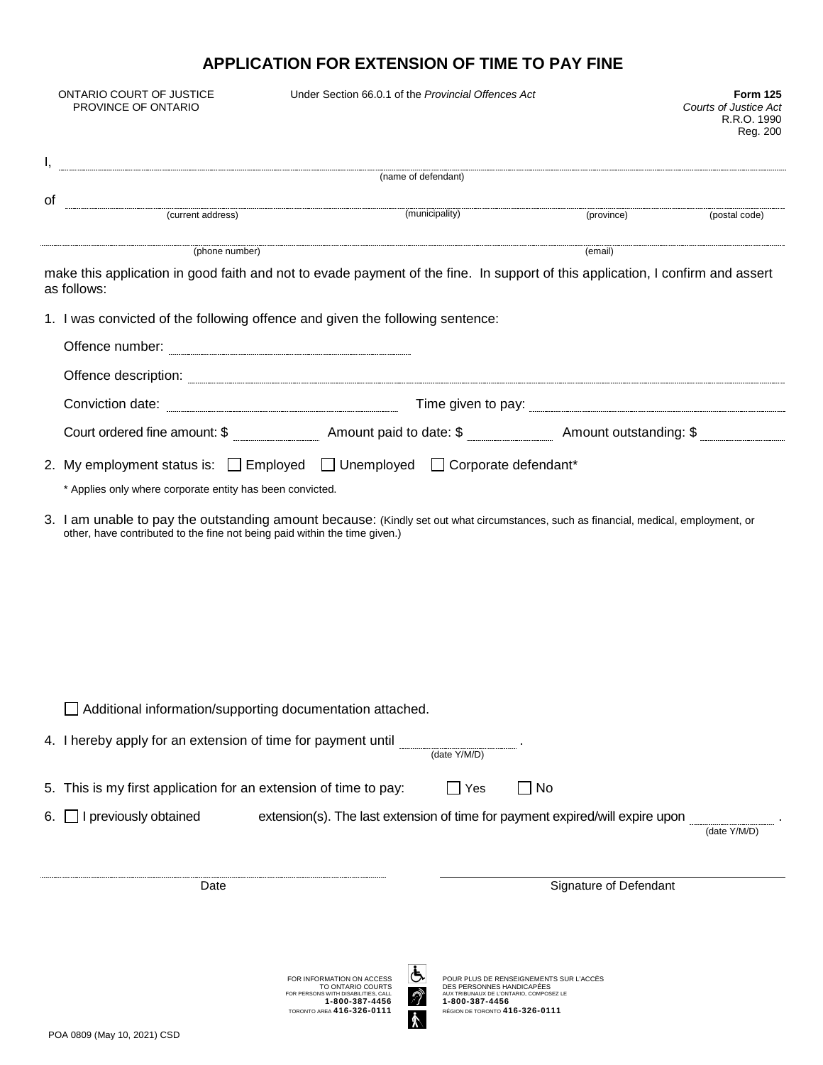## **APPLICATION FOR EXTENSION OF TIME TO PAY FINE**

|                                                                                                                                                                                                                                      | ONTARIO COURT OF JUSTICE<br>PROVINCE OF ONTARIO                                                                                               | Under Section 66.0.1 of the Provincial Offences Act                                                                                         |                                                                                                                                                                     |                        | <b>Form 125</b><br><b>Courts of Justice Act</b><br>R.R.O. 1990<br>Reg. 200 |
|--------------------------------------------------------------------------------------------------------------------------------------------------------------------------------------------------------------------------------------|-----------------------------------------------------------------------------------------------------------------------------------------------|---------------------------------------------------------------------------------------------------------------------------------------------|---------------------------------------------------------------------------------------------------------------------------------------------------------------------|------------------------|----------------------------------------------------------------------------|
|                                                                                                                                                                                                                                      | (name of defendant)                                                                                                                           |                                                                                                                                             |                                                                                                                                                                     |                        |                                                                            |
| οf                                                                                                                                                                                                                                   |                                                                                                                                               |                                                                                                                                             |                                                                                                                                                                     |                        |                                                                            |
|                                                                                                                                                                                                                                      | (current address) (municipality) (province) (province) (post                                                                                  |                                                                                                                                             |                                                                                                                                                                     |                        | (postal code)                                                              |
|                                                                                                                                                                                                                                      | (phone number)                                                                                                                                |                                                                                                                                             |                                                                                                                                                                     | (email)                |                                                                            |
|                                                                                                                                                                                                                                      | make this application in good faith and not to evade payment of the fine. In support of this application, I confirm and assert<br>as follows: |                                                                                                                                             |                                                                                                                                                                     |                        |                                                                            |
|                                                                                                                                                                                                                                      | 1. I was convicted of the following offence and given the following sentence:                                                                 |                                                                                                                                             |                                                                                                                                                                     |                        |                                                                            |
|                                                                                                                                                                                                                                      |                                                                                                                                               |                                                                                                                                             |                                                                                                                                                                     |                        |                                                                            |
|                                                                                                                                                                                                                                      |                                                                                                                                               |                                                                                                                                             |                                                                                                                                                                     |                        |                                                                            |
| Offence description: <u>example and contract and contract and contract and contract and contract and contract and contract and contract and contract and contract and contract and contract and contract and contract and contra</u> |                                                                                                                                               |                                                                                                                                             |                                                                                                                                                                     |                        |                                                                            |
|                                                                                                                                                                                                                                      |                                                                                                                                               |                                                                                                                                             |                                                                                                                                                                     |                        |                                                                            |
|                                                                                                                                                                                                                                      | 2. My employment status is: □ Employed □ Unemployed □ Corporate defendant*<br>* Applies only where corporate entity has been convicted.       |                                                                                                                                             |                                                                                                                                                                     |                        |                                                                            |
|                                                                                                                                                                                                                                      |                                                                                                                                               |                                                                                                                                             |                                                                                                                                                                     |                        |                                                                            |
|                                                                                                                                                                                                                                      | Additional information/supporting documentation attached.                                                                                     |                                                                                                                                             |                                                                                                                                                                     |                        |                                                                            |
|                                                                                                                                                                                                                                      |                                                                                                                                               |                                                                                                                                             |                                                                                                                                                                     |                        |                                                                            |
|                                                                                                                                                                                                                                      | 5. This is my first application for an extension of time to pay:                                                                              |                                                                                                                                             | ∣No<br>Yes                                                                                                                                                          |                        |                                                                            |
| 6.                                                                                                                                                                                                                                   | I previously obtained                                                                                                                         | extension(s). The last extension of time for payment expired/will expire upon                                                               |                                                                                                                                                                     |                        | (date Y/M/D)                                                               |
| Date                                                                                                                                                                                                                                 |                                                                                                                                               |                                                                                                                                             |                                                                                                                                                                     | Signature of Defendant |                                                                            |
|                                                                                                                                                                                                                                      | POA 0809 (May 10, 2021) CSD                                                                                                                   | FOR INFORMATION ON ACCESS<br>TO ONTARIO COURTS<br>FOR PERSONS WITH DISABILITIES, CALL<br>1-800-387-4456<br><b>TORONTO AREA 416-326-0111</b> | POUR PLUS DE RENSEIGNEMENTS SUR L'ACCÈS<br>DES PERSONNES HANDICAPÉES<br>AUX TRIBUNAUX DE L'ONTARIO, COMPOSEZ LE<br>1-800-387-4456<br>RÉGION DE TORONTO 416-326-0111 |                        |                                                                            |